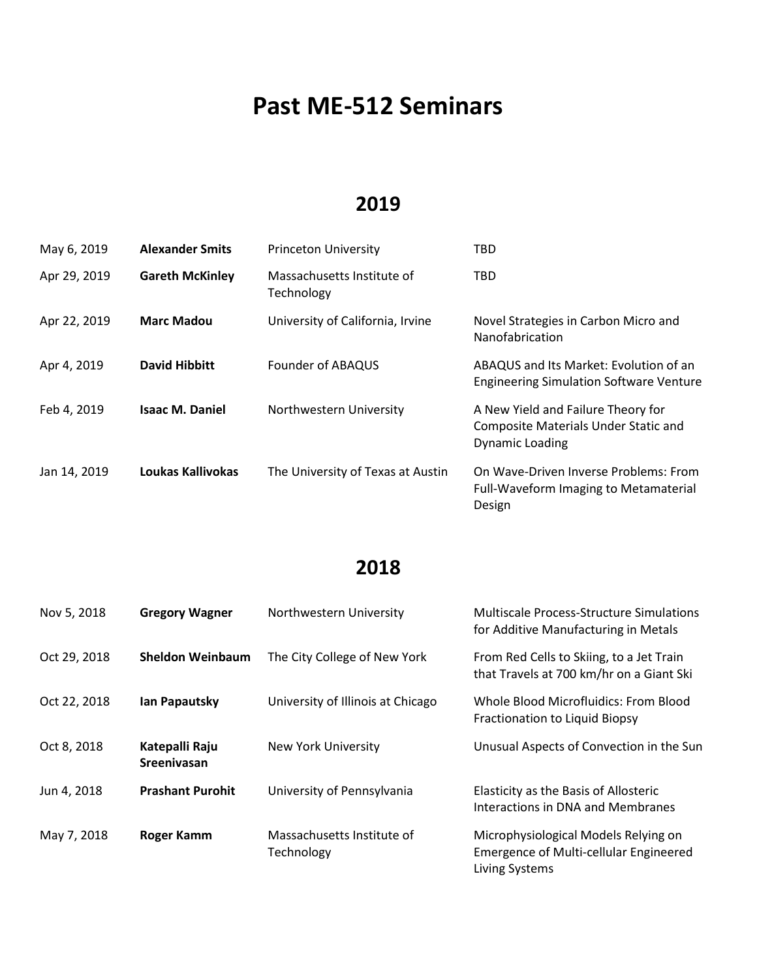# **Past ME-512 Seminars**

#### **2019**

| May 6, 2019  | <b>Alexander Smits</b> | <b>Princeton University</b>              | TBD                                                                                                         |
|--------------|------------------------|------------------------------------------|-------------------------------------------------------------------------------------------------------------|
| Apr 29, 2019 | <b>Gareth McKinley</b> | Massachusetts Institute of<br>Technology | <b>TBD</b>                                                                                                  |
| Apr 22, 2019 | <b>Marc Madou</b>      | University of California, Irvine         | Novel Strategies in Carbon Micro and<br>Nanofabrication                                                     |
| Apr 4, 2019  | David Hibbitt          | Founder of ABAQUS                        | ABAQUS and Its Market: Evolution of an<br><b>Engineering Simulation Software Venture</b>                    |
| Feb 4, 2019  | <b>Isaac M. Daniel</b> | Northwestern University                  | A New Yield and Failure Theory for<br><b>Composite Materials Under Static and</b><br><b>Dynamic Loading</b> |
| Jan 14, 2019 | Loukas Kallivokas      | The University of Texas at Austin        | On Wave-Driven Inverse Problems: From<br>Full-Waveform Imaging to Metamaterial<br>Design                    |

| Nov 5, 2018  | <b>Gregory Wagner</b>                | Northwestern University                  | <b>Multiscale Process-Structure Simulations</b><br>for Additive Manufacturing in Metals                 |
|--------------|--------------------------------------|------------------------------------------|---------------------------------------------------------------------------------------------------------|
| Oct 29, 2018 | <b>Sheldon Weinbaum</b>              | The City College of New York             | From Red Cells to Skiing, to a Jet Train<br>that Travels at 700 km/hr on a Giant Ski                    |
| Oct 22, 2018 | <b>Ian Papautsky</b>                 | University of Illinois at Chicago        | Whole Blood Microfluidics: From Blood<br>Fractionation to Liquid Biopsy                                 |
| Oct 8, 2018  | Katepalli Raju<br><b>Sreenivasan</b> | <b>New York University</b>               | Unusual Aspects of Convection in the Sun                                                                |
| Jun 4, 2018  | <b>Prashant Purohit</b>              | University of Pennsylvania               | Elasticity as the Basis of Allosteric<br>Interactions in DNA and Membranes                              |
| May 7, 2018  | <b>Roger Kamm</b>                    | Massachusetts Institute of<br>Technology | Microphysiological Models Relying on<br><b>Emergence of Multi-cellular Engineered</b><br>Living Systems |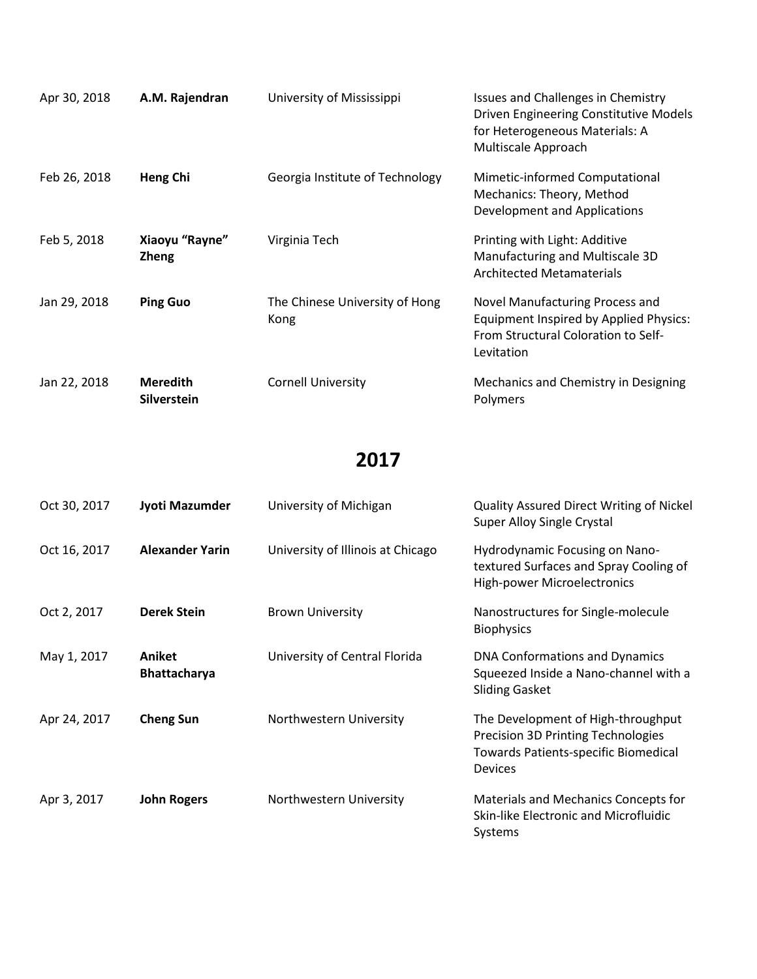| Apr 30, 2018 | A.M. Rajendran                        | University of Mississippi              | Issues and Challenges in Chemistry<br>Driven Engineering Constitutive Models<br>for Heterogeneous Materials: A<br>Multiscale Approach |
|--------------|---------------------------------------|----------------------------------------|---------------------------------------------------------------------------------------------------------------------------------------|
| Feb 26, 2018 | Heng Chi                              | Georgia Institute of Technology        | Mimetic-informed Computational<br>Mechanics: Theory, Method<br>Development and Applications                                           |
| Feb 5, 2018  | Xiaoyu "Rayne"<br><b>Zheng</b>        | Virginia Tech                          | Printing with Light: Additive<br>Manufacturing and Multiscale 3D<br><b>Architected Metamaterials</b>                                  |
| Jan 29, 2018 | <b>Ping Guo</b>                       | The Chinese University of Hong<br>Kong | Novel Manufacturing Process and<br>Equipment Inspired by Applied Physics:<br>From Structural Coloration to Self-<br>Levitation        |
| Jan 22, 2018 | <b>Meredith</b><br><b>Silverstein</b> | <b>Cornell University</b>              | Mechanics and Chemistry in Designing<br>Polymers                                                                                      |

| Oct 30, 2017 | Jyoti Mazumder                | University of Michigan            | <b>Quality Assured Direct Writing of Nickel</b><br><b>Super Alloy Single Crystal</b>                                               |
|--------------|-------------------------------|-----------------------------------|------------------------------------------------------------------------------------------------------------------------------------|
| Oct 16, 2017 | <b>Alexander Yarin</b>        | University of Illinois at Chicago | Hydrodynamic Focusing on Nano-<br>textured Surfaces and Spray Cooling of<br>High-power Microelectronics                            |
| Oct 2, 2017  | <b>Derek Stein</b>            | <b>Brown University</b>           | Nanostructures for Single-molecule<br><b>Biophysics</b>                                                                            |
| May 1, 2017  | Aniket<br><b>Bhattacharya</b> | University of Central Florida     | <b>DNA Conformations and Dynamics</b><br>Squeezed Inside a Nano-channel with a<br><b>Sliding Gasket</b>                            |
| Apr 24, 2017 | <b>Cheng Sun</b>              | Northwestern University           | The Development of High-throughput<br>Precision 3D Printing Technologies<br><b>Towards Patients-specific Biomedical</b><br>Devices |
| Apr 3, 2017  | <b>John Rogers</b>            | Northwestern University           | Materials and Mechanics Concepts for<br>Skin-like Electronic and Microfluidic<br>Systems                                           |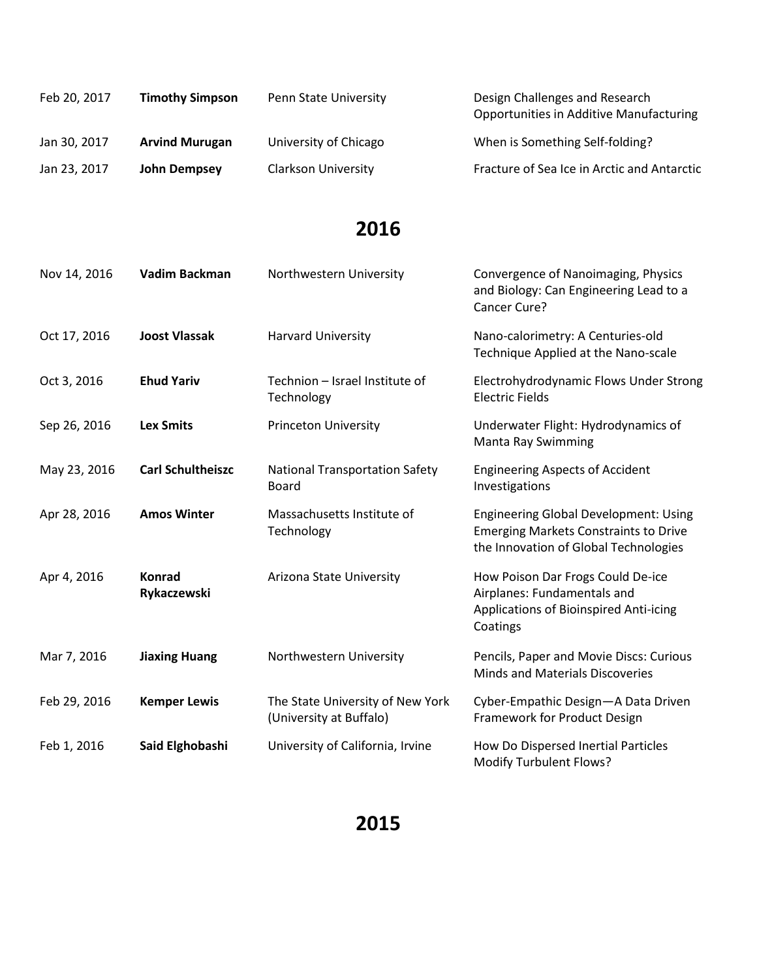| Feb 20, 2017 | <b>Timothy Simpson</b> | Penn State University      | Design Challenges and Research<br><b>Opportunities in Additive Manufacturing</b> |
|--------------|------------------------|----------------------------|----------------------------------------------------------------------------------|
| Jan 30, 2017 | <b>Arvind Murugan</b>  | University of Chicago      | When is Something Self-folding?                                                  |
| Jan 23, 2017 | John Dempsey           | <b>Clarkson University</b> | Fracture of Sea Ice in Arctic and Antarctic                                      |

| Nov 14, 2016 | Vadim Backman            | Northwestern University                                     | Convergence of Nanoimaging, Physics<br>and Biology: Can Engineering Lead to a<br>Cancer Cure?                                         |
|--------------|--------------------------|-------------------------------------------------------------|---------------------------------------------------------------------------------------------------------------------------------------|
| Oct 17, 2016 | <b>Joost Vlassak</b>     | Harvard University                                          | Nano-calorimetry: A Centuries-old<br>Technique Applied at the Nano-scale                                                              |
| Oct 3, 2016  | <b>Ehud Yariv</b>        | Technion - Israel Institute of<br>Technology                | Electrohydrodynamic Flows Under Strong<br><b>Electric Fields</b>                                                                      |
| Sep 26, 2016 | <b>Lex Smits</b>         | <b>Princeton University</b>                                 | Underwater Flight: Hydrodynamics of<br><b>Manta Ray Swimming</b>                                                                      |
| May 23, 2016 | <b>Carl Schultheiszc</b> | <b>National Transportation Safety</b><br>Board              | <b>Engineering Aspects of Accident</b><br>Investigations                                                                              |
| Apr 28, 2016 | <b>Amos Winter</b>       | Massachusetts Institute of<br>Technology                    | <b>Engineering Global Development: Using</b><br><b>Emerging Markets Constraints to Drive</b><br>the Innovation of Global Technologies |
| Apr 4, 2016  | Konrad<br>Rykaczewski    | Arizona State University                                    | How Poison Dar Frogs Could De-ice<br>Airplanes: Fundamentals and<br>Applications of Bioinspired Anti-icing<br>Coatings                |
| Mar 7, 2016  | <b>Jiaxing Huang</b>     | Northwestern University                                     | Pencils, Paper and Movie Discs: Curious<br>Minds and Materials Discoveries                                                            |
| Feb 29, 2016 | <b>Kemper Lewis</b>      | The State University of New York<br>(University at Buffalo) | Cyber-Empathic Design-A Data Driven<br>Framework for Product Design                                                                   |
| Feb 1, 2016  | Said Elghobashi          | University of California, Irvine                            | How Do Dispersed Inertial Particles<br><b>Modify Turbulent Flows?</b>                                                                 |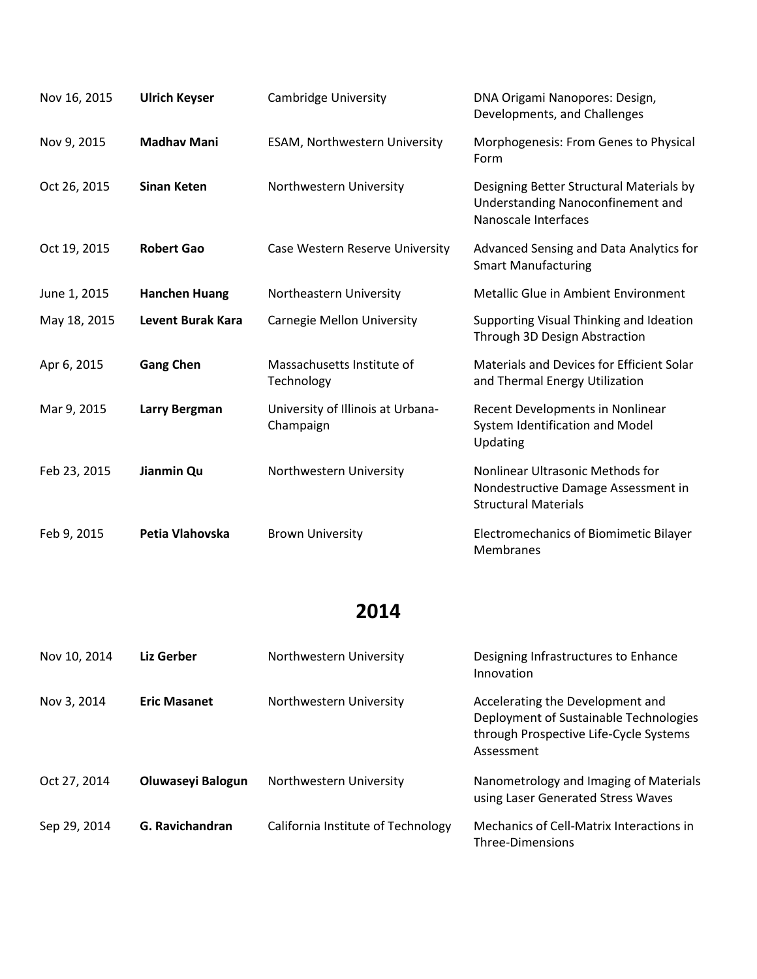| Nov 16, 2015 | <b>Ulrich Keyser</b>     | <b>Cambridge University</b>                    | DNA Origami Nanopores: Design,<br>Developments, and Challenges                                         |
|--------------|--------------------------|------------------------------------------------|--------------------------------------------------------------------------------------------------------|
| Nov 9, 2015  | <b>Madhav Mani</b>       | ESAM, Northwestern University                  | Morphogenesis: From Genes to Physical<br>Form                                                          |
| Oct 26, 2015 | <b>Sinan Keten</b>       | Northwestern University                        | Designing Better Structural Materials by<br>Understanding Nanoconfinement and<br>Nanoscale Interfaces  |
| Oct 19, 2015 | <b>Robert Gao</b>        | Case Western Reserve University                | Advanced Sensing and Data Analytics for<br><b>Smart Manufacturing</b>                                  |
| June 1, 2015 | <b>Hanchen Huang</b>     | Northeastern University                        | Metallic Glue in Ambient Environment                                                                   |
| May 18, 2015 | <b>Levent Burak Kara</b> | Carnegie Mellon University                     | Supporting Visual Thinking and Ideation<br>Through 3D Design Abstraction                               |
| Apr 6, 2015  | <b>Gang Chen</b>         | Massachusetts Institute of<br>Technology       | Materials and Devices for Efficient Solar<br>and Thermal Energy Utilization                            |
| Mar 9, 2015  | Larry Bergman            | University of Illinois at Urbana-<br>Champaign | Recent Developments in Nonlinear<br>System Identification and Model<br>Updating                        |
| Feb 23, 2015 | Jianmin Qu               | Northwestern University                        | Nonlinear Ultrasonic Methods for<br>Nondestructive Damage Assessment in<br><b>Structural Materials</b> |
| Feb 9, 2015  | Petia Vlahovska          | <b>Brown University</b>                        | Electromechanics of Biomimetic Bilayer<br>Membranes                                                    |

| Nov 10, 2014 | Liz Gerber          | Northwestern University            | Designing Infrastructures to Enhance<br>Innovation                                                                                 |
|--------------|---------------------|------------------------------------|------------------------------------------------------------------------------------------------------------------------------------|
| Nov 3, 2014  | <b>Eric Masanet</b> | Northwestern University            | Accelerating the Development and<br>Deployment of Sustainable Technologies<br>through Prospective Life-Cycle Systems<br>Assessment |
| Oct 27, 2014 | Oluwaseyi Balogun   | Northwestern University            | Nanometrology and Imaging of Materials<br>using Laser Generated Stress Waves                                                       |
| Sep 29, 2014 | G. Ravichandran     | California Institute of Technology | Mechanics of Cell-Matrix Interactions in<br>Three-Dimensions                                                                       |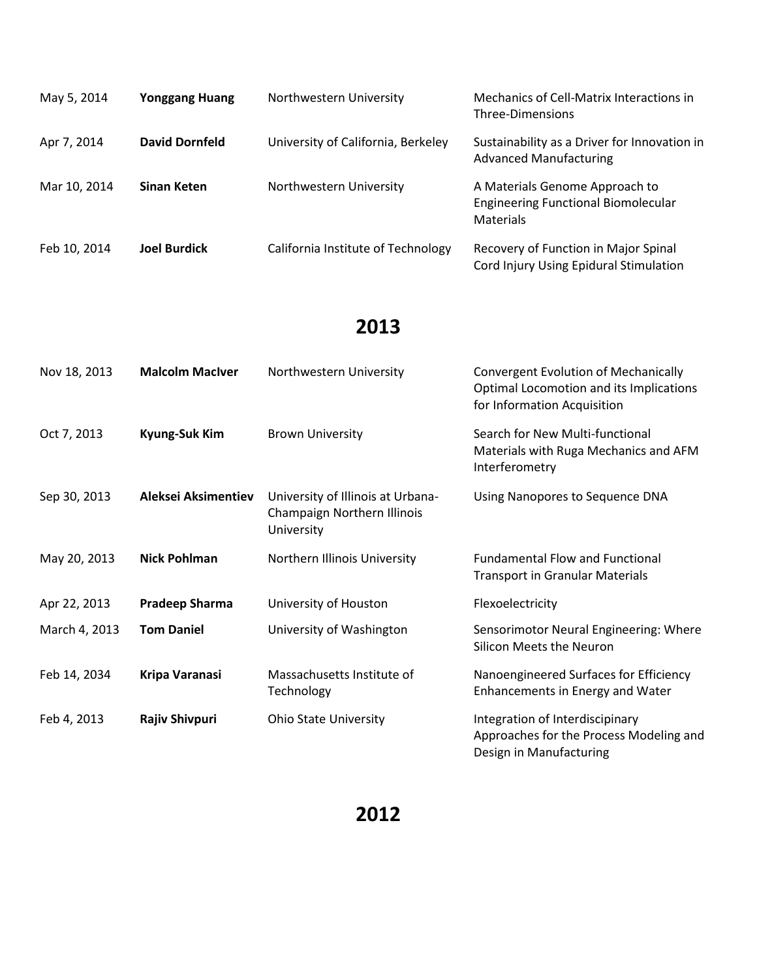| May 5, 2014  | <b>Yonggang Huang</b> | Northwestern University            | Mechanics of Cell-Matrix Interactions in<br>Three-Dimensions                                     |
|--------------|-----------------------|------------------------------------|--------------------------------------------------------------------------------------------------|
| Apr 7, 2014  | <b>David Dornfeld</b> | University of California, Berkeley | Sustainability as a Driver for Innovation in<br><b>Advanced Manufacturing</b>                    |
| Mar 10, 2014 | Sinan Keten           | Northwestern University            | A Materials Genome Approach to<br><b>Engineering Functional Biomolecular</b><br><b>Materials</b> |
| Feb 10, 2014 | <b>Joel Burdick</b>   | California Institute of Technology | Recovery of Function in Major Spinal<br>Cord Injury Using Epidural Stimulation                   |

| Nov 18, 2013  | <b>Malcolm MacIver</b> | Northwestern University                                                        | <b>Convergent Evolution of Mechanically</b><br>Optimal Locomotion and its Implications<br>for Information Acquisition |
|---------------|------------------------|--------------------------------------------------------------------------------|-----------------------------------------------------------------------------------------------------------------------|
| Oct 7, 2013   | Kyung-Suk Kim          | <b>Brown University</b>                                                        | Search for New Multi-functional<br>Materials with Ruga Mechanics and AFM<br>Interferometry                            |
| Sep 30, 2013  | Aleksei Aksimentiev    | University of Illinois at Urbana-<br>Champaign Northern Illinois<br>University | Using Nanopores to Sequence DNA                                                                                       |
| May 20, 2013  | <b>Nick Pohlman</b>    | Northern Illinois University                                                   | <b>Fundamental Flow and Functional</b><br><b>Transport in Granular Materials</b>                                      |
| Apr 22, 2013  | <b>Pradeep Sharma</b>  | University of Houston                                                          | Flexoelectricity                                                                                                      |
| March 4, 2013 | <b>Tom Daniel</b>      | University of Washington                                                       | Sensorimotor Neural Engineering: Where<br><b>Silicon Meets the Neuron</b>                                             |
| Feb 14, 2034  | Kripa Varanasi         | Massachusetts Institute of<br>Technology                                       | Nanoengineered Surfaces for Efficiency<br>Enhancements in Energy and Water                                            |
| Feb 4, 2013   | <b>Rajiv Shivpuri</b>  | <b>Ohio State University</b>                                                   | Integration of Interdiscipinary<br>Approaches for the Process Modeling and                                            |

Design in Manufacturing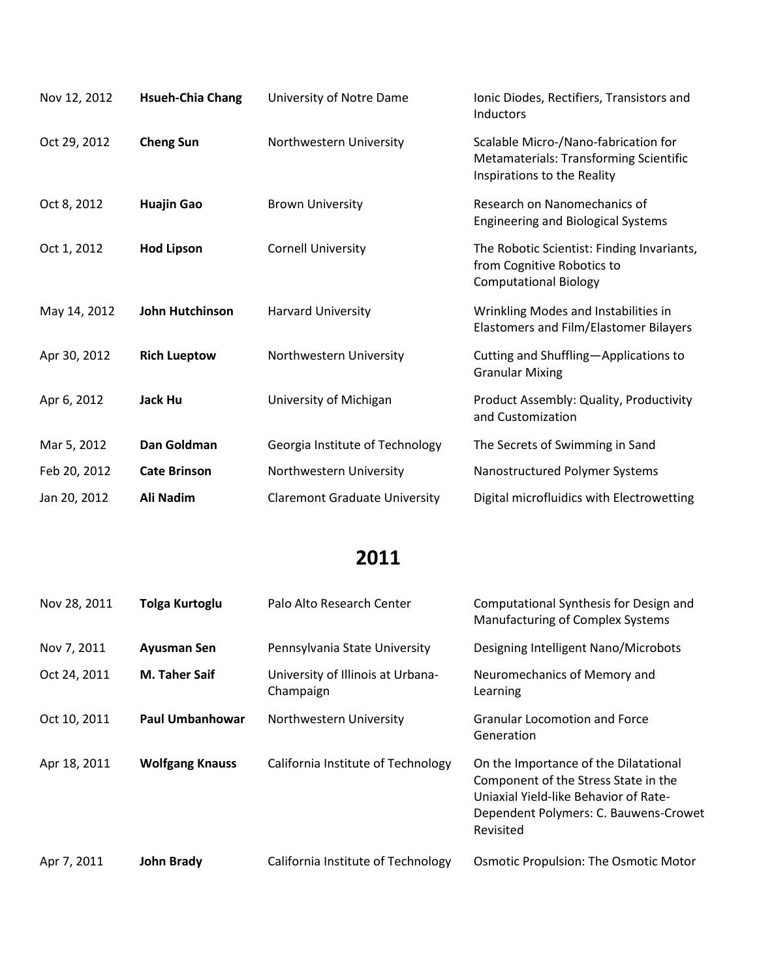| Nov 12, 2012 | <b>Hsueh-Chia Chang</b> | University of Notre Dame             | Ionic Diodes, Rectifiers, Transistors and<br>Inductors                                                               |
|--------------|-------------------------|--------------------------------------|----------------------------------------------------------------------------------------------------------------------|
| Oct 29, 2012 | <b>Cheng Sun</b>        | Northwestern University              | Scalable Micro-/Nano-fabrication for<br><b>Metamaterials: Transforming Scientific</b><br>Inspirations to the Reality |
| Oct 8, 2012  | <b>Huajin Gao</b>       | <b>Brown University</b>              | Research on Nanomechanics of<br><b>Engineering and Biological Systems</b>                                            |
| Oct 1, 2012  | <b>Hod Lipson</b>       | <b>Cornell University</b>            | The Robotic Scientist: Finding Invariants,<br>from Cognitive Robotics to<br><b>Computational Biology</b>             |
| May 14, 2012 | <b>John Hutchinson</b>  | <b>Harvard University</b>            | Wrinkling Modes and Instabilities in<br>Elastomers and Film/Elastomer Bilayers                                       |
| Apr 30, 2012 | <b>Rich Lueptow</b>     | Northwestern University              | Cutting and Shuffling-Applications to<br><b>Granular Mixing</b>                                                      |
| Apr 6, 2012  | Jack Hu                 | University of Michigan               | Product Assembly: Quality, Productivity<br>and Customization                                                         |
| Mar 5, 2012  | Dan Goldman             | Georgia Institute of Technology      | The Secrets of Swimming in Sand                                                                                      |
| Feb 20, 2012 | <b>Cate Brinson</b>     | Northwestern University              | Nanostructured Polymer Systems                                                                                       |
| Jan 20, 2012 | Ali Nadim               | <b>Claremont Graduate University</b> | Digital microfluidics with Electrowetting                                                                            |

| Nov 28, 2011 | Tolga Kurtoglu         | Palo Alto Research Center                      | Computational Synthesis for Design and<br><b>Manufacturing of Complex Systems</b>                                                                                            |
|--------------|------------------------|------------------------------------------------|------------------------------------------------------------------------------------------------------------------------------------------------------------------------------|
| Nov 7, 2011  | <b>Ayusman Sen</b>     | Pennsylvania State University                  | Designing Intelligent Nano/Microbots                                                                                                                                         |
| Oct 24, 2011 | <b>M. Taher Saif</b>   | University of Illinois at Urbana-<br>Champaign | Neuromechanics of Memory and<br>Learning                                                                                                                                     |
| Oct 10, 2011 | <b>Paul Umbanhowar</b> | Northwestern University                        | <b>Granular Locomotion and Force</b><br>Generation                                                                                                                           |
| Apr 18, 2011 | <b>Wolfgang Knauss</b> | California Institute of Technology             | On the Importance of the Dilatational<br>Component of the Stress State in the<br>Uniaxial Yield-like Behavior of Rate-<br>Dependent Polymers: C. Bauwens-Crowet<br>Revisited |
| Apr 7, 2011  | <b>John Brady</b>      | California Institute of Technology             | <b>Osmotic Propulsion: The Osmotic Motor</b>                                                                                                                                 |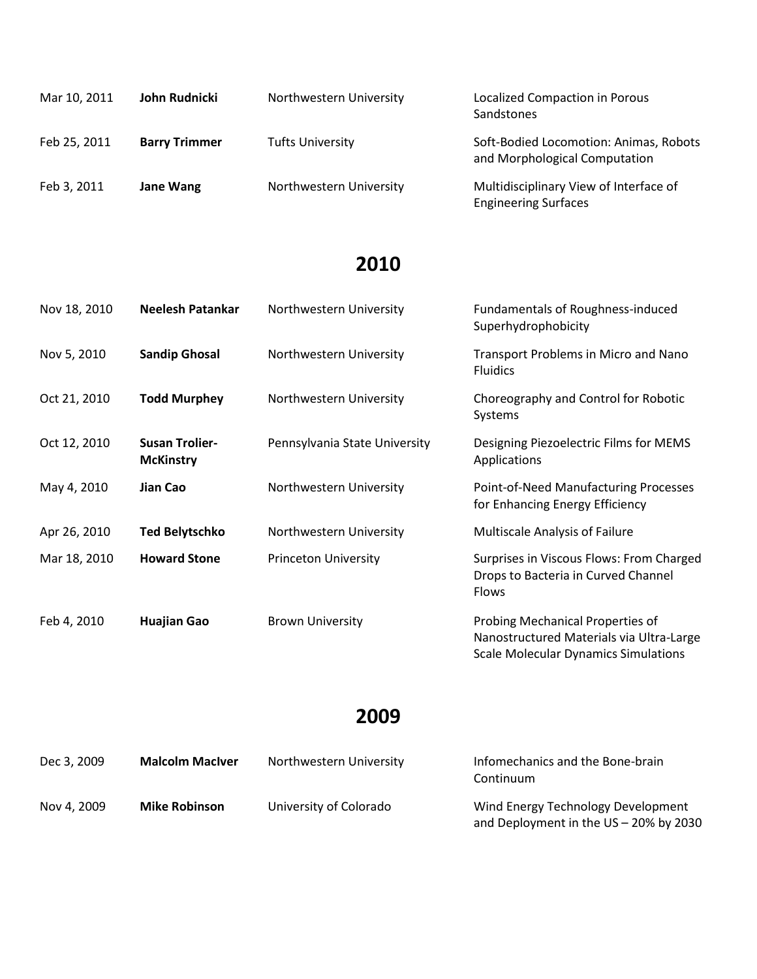| Mar 10, 2011 | John Rudnicki        | Northwestern University | Localized Compaction in Porous<br>Sandstones                            |
|--------------|----------------------|-------------------------|-------------------------------------------------------------------------|
| Feb 25, 2011 | <b>Barry Trimmer</b> | <b>Tufts University</b> | Soft-Bodied Locomotion: Animas, Robots<br>and Morphological Computation |
| Feb 3, 2011  | Jane Wang            | Northwestern University | Multidisciplinary View of Interface of<br><b>Engineering Surfaces</b>   |

| Nov 18, 2010 | <b>Neelesh Patankar</b>                   | Northwestern University       | <b>Fundamentals of Roughness-induced</b><br>Superhydrophobicity                                 |
|--------------|-------------------------------------------|-------------------------------|-------------------------------------------------------------------------------------------------|
| Nov 5, 2010  | <b>Sandip Ghosal</b>                      | Northwestern University       | Transport Problems in Micro and Nano<br><b>Fluidics</b>                                         |
| Oct 21, 2010 | <b>Todd Murphey</b>                       | Northwestern University       | Choreography and Control for Robotic<br>Systems                                                 |
| Oct 12, 2010 | <b>Susan Trolier-</b><br><b>McKinstry</b> | Pennsylvania State University | Designing Piezoelectric Films for MEMS<br>Applications                                          |
| May 4, 2010  | Jian Cao                                  | Northwestern University       | Point-of-Need Manufacturing Processes<br>for Enhancing Energy Efficiency                        |
| Apr 26, 2010 | <b>Ted Belytschko</b>                     | Northwestern University       | Multiscale Analysis of Failure                                                                  |
| Mar 18, 2010 | <b>Howard Stone</b>                       | <b>Princeton University</b>   | Surprises in Viscous Flows: From Charged<br>Drops to Bacteria in Curved Channel<br><b>Flows</b> |
| Feb 4, 2010  | <b>Huajian Gao</b>                        | <b>Brown University</b>       | Probing Mechanical Properties of<br>Nanostructured Materials via Ultra-Large                    |

### **2009**

Scale Molecular Dynamics Simulations

| Dec 3, 2009 | <b>Malcolm MacIver</b> | Northwestern University | Infomechanics and the Bone-brain<br>Continuum                                |
|-------------|------------------------|-------------------------|------------------------------------------------------------------------------|
| Nov 4. 2009 | <b>Mike Robinson</b>   | University of Colorado  | Wind Energy Technology Development<br>and Deployment in the US - 20% by 2030 |